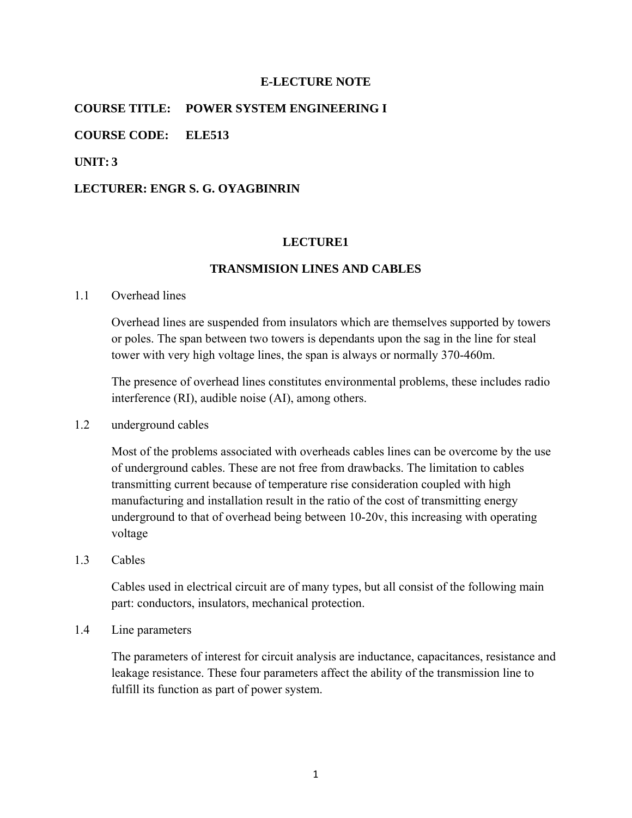#### **E-LECTURE NOTE**

#### **COURSE TITLE: POWER SYSTEM ENGINEERING I**

#### **COURSE CODE: ELE513**

### **UNIT: 3**

#### **LECTURER: ENGR S. G. OYAGBINRIN**

#### **LECTURE1**

### **TRANSMISION LINES AND CABLES**

#### 1.1 Overhead lines

Overhead lines are suspended from insulators which are themselves supported by towers or poles. The span between two towers is dependants upon the sag in the line for steal tower with very high voltage lines, the span is always or normally 370-460m.

The presence of overhead lines constitutes environmental problems, these includes radio interference (RI), audible noise (AI), among others.

### 1.2 underground cables

Most of the problems associated with overheads cables lines can be overcome by the use of underground cables. These are not free from drawbacks. The limitation to cables transmitting current because of temperature rise consideration coupled with high manufacturing and installation result in the ratio of the cost of transmitting energy underground to that of overhead being between 10-20v, this increasing with operating voltage

#### 1.3 Cables

Cables used in electrical circuit are of many types, but all consist of the following main part: conductors, insulators, mechanical protection.

### 1.4 Line parameters

The parameters of interest for circuit analysis are inductance, capacitances, resistance and leakage resistance. These four parameters affect the ability of the transmission line to fulfill its function as part of power system.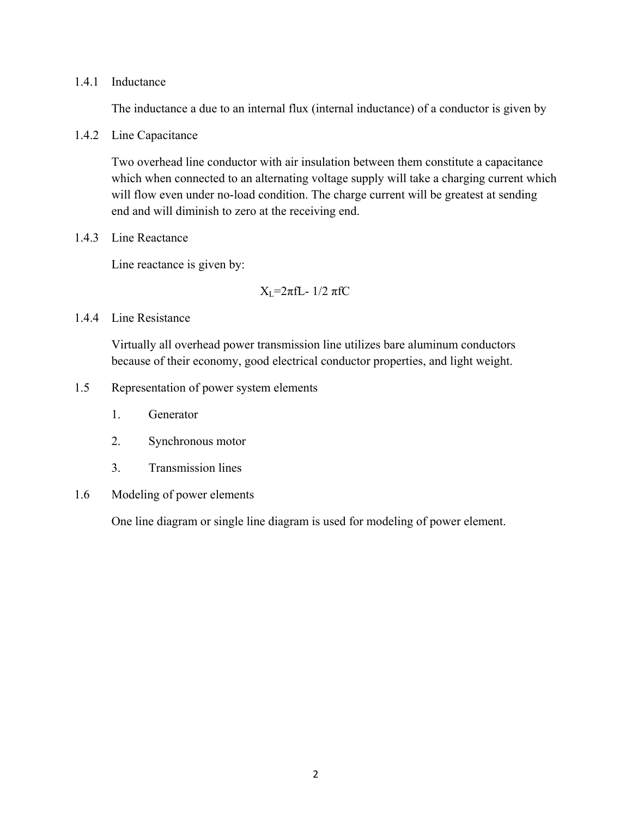### 1.4.1 Inductance

The inductance a due to an internal flux (internal inductance) of a conductor is given by

1.4.2 Line Capacitance

Two overhead line conductor with air insulation between them constitute a capacitance which when connected to an alternating voltage supply will take a charging current which will flow even under no-load condition. The charge current will be greatest at sending end and will diminish to zero at the receiving end.

1.4.3 Line Reactance

Line reactance is given by:

$$
X_L = 2\pi fL - 1/2 \pi fC
$$

1.4.4 Line Resistance

Virtually all overhead power transmission line utilizes bare aluminum conductors because of their economy, good electrical conductor properties, and light weight.

- 1.5 Representation of power system elements
	- 1. Generator
	- 2. Synchronous motor
	- 3. Transmission lines
- 1.6 Modeling of power elements

One line diagram or single line diagram is used for modeling of power element.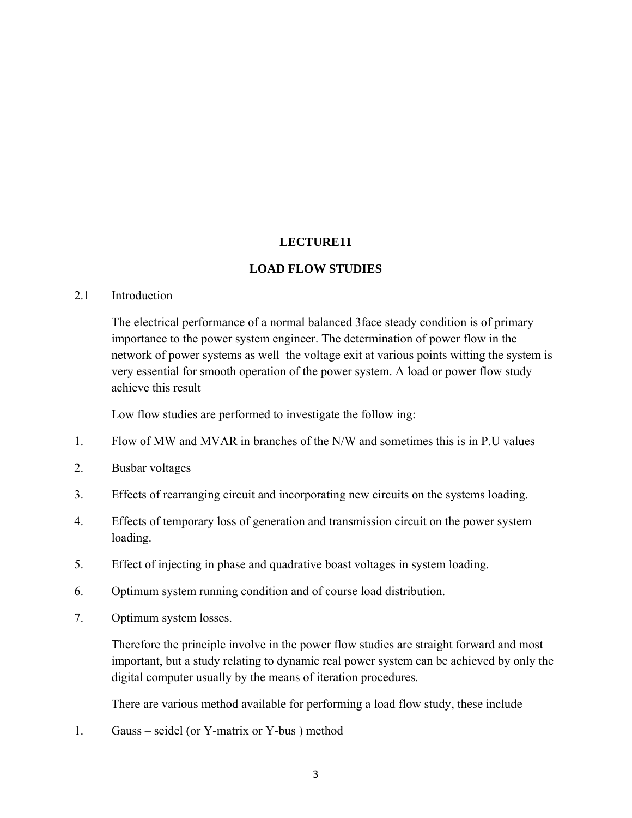### **LECTURE11**

### **LOAD FLOW STUDIES**

### 2.1 Introduction

The electrical performance of a normal balanced 3face steady condition is of primary importance to the power system engineer. The determination of power flow in the network of power systems as well the voltage exit at various points witting the system is very essential for smooth operation of the power system. A load or power flow study achieve this result

Low flow studies are performed to investigate the follow ing:

- 1. Flow of MW and MVAR in branches of the N/W and sometimes this is in P.U values
- 2. Busbar voltages
- 3. Effects of rearranging circuit and incorporating new circuits on the systems loading.
- 4. Effects of temporary loss of generation and transmission circuit on the power system loading.
- 5. Effect of injecting in phase and quadrative boast voltages in system loading.
- 6. Optimum system running condition and of course load distribution.
- 7. Optimum system losses.

Therefore the principle involve in the power flow studies are straight forward and most important, but a study relating to dynamic real power system can be achieved by only the digital computer usually by the means of iteration procedures.

There are various method available for performing a load flow study, these include

1. Gauss – seidel (or Y-matrix or Y-bus ) method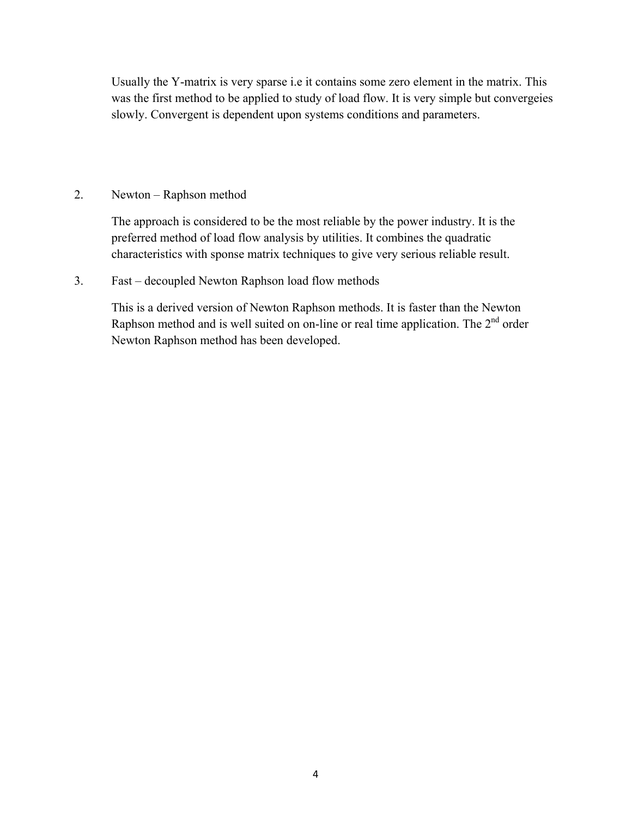Usually the Y-matrix is very sparse i.e it contains some zero element in the matrix. This was the first method to be applied to study of load flow. It is very simple but convergeies slowly. Convergent is dependent upon systems conditions and parameters.

# 2. Newton – Raphson method

The approach is considered to be the most reliable by the power industry. It is the preferred method of load flow analysis by utilities. It combines the quadratic characteristics with sponse matrix techniques to give very serious reliable result.

# 3. Fast – decoupled Newton Raphson load flow methods

This is a derived version of Newton Raphson methods. It is faster than the Newton Raphson method and is well suited on on-line or real time application. The 2<sup>nd</sup> order Newton Raphson method has been developed.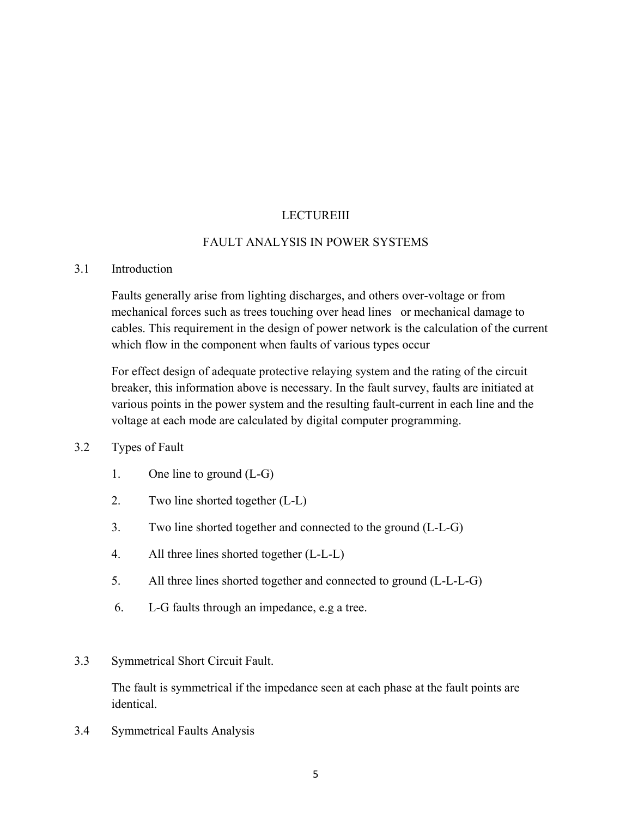# **LECTUREIII**

# FAULT ANALYSIS IN POWER SYSTEMS

#### 3.1 Introduction

Faults generally arise from lighting discharges, and others over-voltage or from mechanical forces such as trees touching over head lines or mechanical damage to cables. This requirement in the design of power network is the calculation of the current which flow in the component when faults of various types occur

For effect design of adequate protective relaying system and the rating of the circuit breaker, this information above is necessary. In the fault survey, faults are initiated at various points in the power system and the resulting fault-current in each line and the voltage at each mode are calculated by digital computer programming.

## 3.2 Types of Fault

- 1. One line to ground (L-G)
- 2. Two line shorted together (L-L)
- 3. Two line shorted together and connected to the ground (L-L-G)
- 4. All three lines shorted together (L-L-L)
- 5. All three lines shorted together and connected to ground (L-L-L-G)
- 6. L-G faults through an impedance, e.g a tree.
- 3.3 Symmetrical Short Circuit Fault.

The fault is symmetrical if the impedance seen at each phase at the fault points are identical.

3.4 Symmetrical Faults Analysis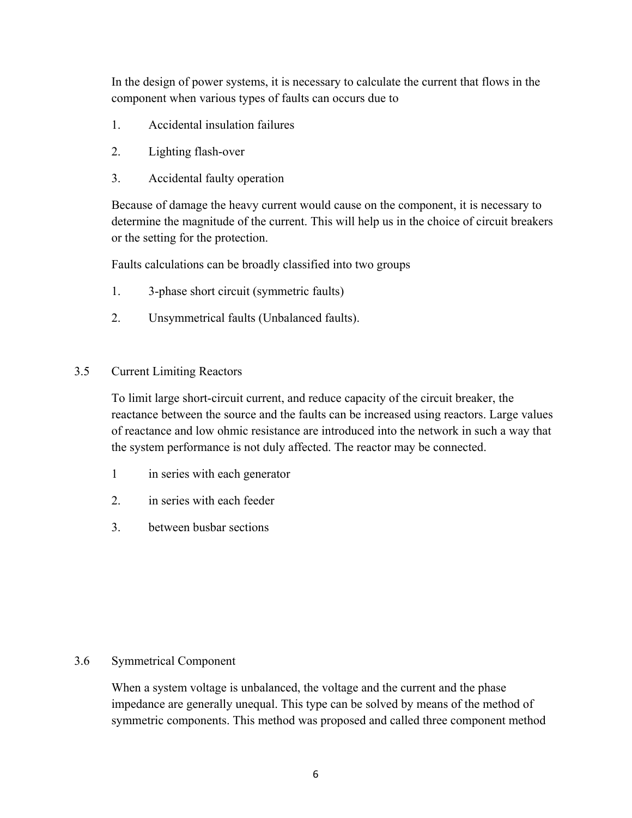In the design of power systems, it is necessary to calculate the current that flows in the component when various types of faults can occurs due to

- 1. Accidental insulation failures
- 2. Lighting flash-over
- 3. Accidental faulty operation

Because of damage the heavy current would cause on the component, it is necessary to determine the magnitude of the current. This will help us in the choice of circuit breakers or the setting for the protection.

Faults calculations can be broadly classified into two groups

- 1. 3-phase short circuit (symmetric faults)
- 2. Unsymmetrical faults (Unbalanced faults).
- 3.5 Current Limiting Reactors

To limit large short-circuit current, and reduce capacity of the circuit breaker, the reactance between the source and the faults can be increased using reactors. Large values of reactance and low ohmic resistance are introduced into the network in such a way that the system performance is not duly affected. The reactor may be connected.

- 1 in series with each generator
- 2. in series with each feeder
- 3. between busbar sections

## 3.6 Symmetrical Component

When a system voltage is unbalanced, the voltage and the current and the phase impedance are generally unequal. This type can be solved by means of the method of symmetric components. This method was proposed and called three component method